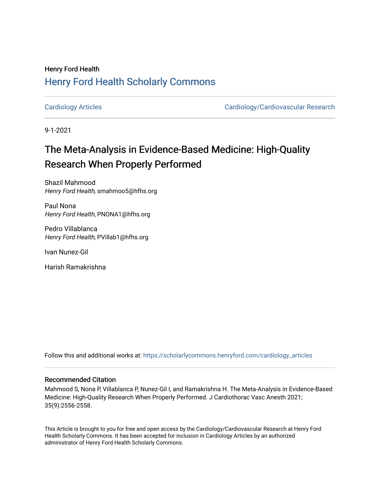## Henry Ford Health [Henry Ford Health Scholarly Commons](https://scholarlycommons.henryford.com/)

[Cardiology Articles](https://scholarlycommons.henryford.com/cardiology_articles) [Cardiology/Cardiovascular Research](https://scholarlycommons.henryford.com/cardiology) 

9-1-2021

# The Meta-Analysis in Evidence-Based Medicine: High-Quality Research When Properly Performed

Shazil Mahmood Henry Ford Health, smahmoo5@hfhs.org

Paul Nona Henry Ford Health, PNONA1@hfhs.org

Pedro Villablanca Henry Ford Health, PVillab1@hfhs.org

Ivan Nunez-Gil

Harish Ramakrishna

Follow this and additional works at: [https://scholarlycommons.henryford.com/cardiology\\_articles](https://scholarlycommons.henryford.com/cardiology_articles?utm_source=scholarlycommons.henryford.com%2Fcardiology_articles%2F820&utm_medium=PDF&utm_campaign=PDFCoverPages)

### Recommended Citation

Mahmood S, Nona P, Villablanca P, Nunez-Gil I, and Ramakrishna H. The Meta-Analysis in Evidence-Based Medicine: High-Quality Research When Properly Performed. J Cardiothorac Vasc Anesth 2021; 35(9):2556-2558.

This Article is brought to you for free and open access by the Cardiology/Cardiovascular Research at Henry Ford Health Scholarly Commons. It has been accepted for inclusion in Cardiology Articles by an authorized administrator of Henry Ford Health Scholarly Commons.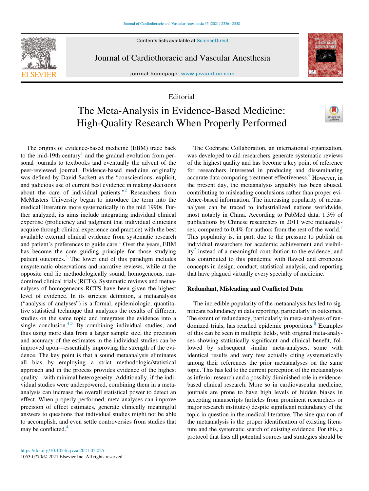Contents lists available at ScienceDirect



Journal of Cardiothoracic and Vascular Anesthesia

journal homepage: [www.jcvaonline.com](http://www.jcvaonline.com)

## Editorial

## The Meta-Analysis in Evidence-Based Medicine: High-Quality Research When Properly Performed

The origins of evidence-based medicine (EBM) trace back to the mid-[1](#page-3-0)9th century<sup>1</sup> and the gradual evolution from personal journals to textbooks and eventually the advent of the peer-reviewed journal. Evidence-based medicine originally was defined by David Sackett as the "conscientious, explicit, and judicious use of current best evidence in making decisions about the care of individual patients.["2](#page-3-1) Researchers from McMasters University began to introduce the term into the medical litrerature more systematically in the mid 1990s. Further analyzed, its aims include integrating individual clinical expertise (proficiency and judgment that individual clinicians acquire through clinical experience and practice) with the best available external clinical evidence from systematic research and patient's preferences to guide care.<sup>[1](#page-3-0)</sup> Over the years, EBM has become the core guiding principle for those studying patient outcomes.[3](#page-3-2) The lower end of this paradigm includes unsystematic observations and narrative reviews, while at the opposite end lie methodologically sound, homogeneous, randomized clinical trials (RCTs). Systematic reviews and metaanalyses of homogeneous RCTS have been given the highest level of evidence. In its strictest definition, a metaanalysis ("analysis of analyses") is a formal, epidemiologic, quantitative statistical technique that analyzes the results of different studies on the same topic and integrates the evidence into a single conclusion.<sup>[4](#page-3-3)[,5](#page-3-4)</sup> By combining individual studies, and thus using more data from a larger sample size, the precision and accuracy of the estimates in the individual studies can be improved upon—essentially improving the strength of the evidence. The key point is that a sound metaanalysis eliminates all bias by employing a strict methodologic/statistical approach and in the process provides evidence of the highest quality—with minimal heterogeneity. Additionally, if the individual studies were underpowered, combining them in a metaanalysis can increase the overall statistical power to detect an effect. When properly performed, meta-analyses can improve precision of effect estimates, generate clinically meaningful answers to questions that individual studies might not be able to accomplish, and even settle controversies from studies that may be conflicted.<sup>[4](#page-3-3)</sup>

The Cochrane Collaboration, an international organization, was developed to aid researchers generate systematic reviews of the highest quality and has become a key point of reference for researchers interested in producing and disseminating accurate data comparing treatment effectiveness.<sup>[6](#page-3-5)</sup> However, in the present day, the metaanalysis arguably has been abused, contributing to misleading conclusions rather than proper evidence-based information. The increasing popularity of metaanalyses can be traced to industrialized nations worldwide, most notably in China. According to PubMed data, 1.3% of publications by Chinese researchers in 2011 were metaanaly-ses, compared to 0.4% for authors from the rest of the world.<sup>[7](#page-3-6)</sup> This popularity is, in part, due to the pressure to publish on individual researchers for academic achievement and visibil- $itv<sup>7</sup>$  $itv<sup>7</sup>$  $itv<sup>7</sup>$  instead of a meaningful contribution to the evidence, and has contributed to this pandemic with flawed and erroneous concepts in design, conduct, statistical analysis, and reporting that have plagued virtually every specialty of medicine.

### Redundant, Misleading and Conflicted Data

The incredible popularity of the metaanalysis has led to significant redundancy in data reporting, particularly in outcomes. The extent of redundancy, particularly in meta-analyses of ran-domized trials, has reached epidemic proportions.<sup>[8](#page-3-7)</sup> Examples of this can be seen in multiple fields, with original meta-analyses showing statistically significant and clinical benefit, followed by subsequent similar meta-analyses, some with identical results and very few actually citing systematically among their references the prior metaanalyses on the same topic. This has led to the current perception of the metaanalysis as inferior research and a possibly diminished role in evidencebased clinical research. More so in cardiovascular medicine, journals are prone to have high levels of hidden biases in accepting manuscripts (articles from prominent researchers or major research institutes) despite significant redundancy of the topic in question in the medical literature. The sine qua non of the metaanalysis is the proper identification of existing literature and the systematic search of existing evidence. For this, a protocol that lists all potential sources and strategies should be

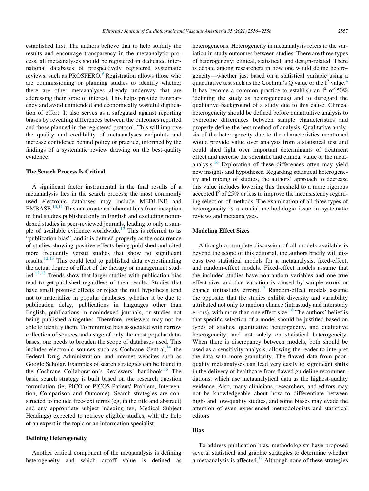established first. The authors believe that to help solidify the results and encourage transparency in the metaanalytic process, all metaanalyses should be registered in dedicated international databases of prospectively registered systematic reviews, such as PROSPERO.<sup>[9](#page-3-8)</sup> Registration allows those who are commissioning or planning studies to identify whether there are other metaanalyses already underway that are addressing their topic of interest. This helps provide transparency and avoid unintended and economically wasteful duplication of effort. It also serves as a safeguard against reporting biases by revealing differences between the outcomes reported and those planned in the registered protocol. This will improve the quality and credibility of metaanalyses endpoints and increase confidence behind policy or practice, informed by the findings of a systematic review drawing on the best-quality evidence.

#### The Search Process Is Critical

A significant factor instrumental in the final results of a metaanalysis lies in the search process; the most commonly used electronic databases may include MEDLINE and  $EMBASE.<sup>10,11</sup>$  $EMBASE.<sup>10,11</sup>$  $EMBASE.<sup>10,11</sup>$  $EMBASE.<sup>10,11</sup>$  This can create an inherent bias from inception to find studies published only in English and excluding nonindexed studies in peer-reviewed journals, leading to only a sam-ple of available evidence worldwide.<sup>[12](#page-3-11)</sup> This is referred to as "publication bias", and it is defined properly as the occurrence of studies showing positive effects being published and cited more frequently versus studies that show no significant results.<sup>[12,](#page-3-11)[13](#page-3-12)</sup> This could lead to published data overestimating the actual degree of effect of the therapy or management studied. $12,13$  $12,13$  $12,13$  Trends show that larger studies with publication bias tend to get published regardless of their results. Studies that have small positive effects or reject the null hypothesis tend not to materialize in popular databases, whether it be due to publication delay, publications in languages other than English, publications in nonindexed journals, or studies not being published altogether. Therefore, reviewers may not be able to identify them. To minimize bias associated with narrow collection of sources and usage of only the most popular databases, one needs to broaden the scope of databases used. This includes electronic sources such as Cochrane Central, $^{14}$  $^{14}$  $^{14}$  the Federal Drug Administration, and internet websites such as Google Scholar. Examples of search strategies can be found in the Cochrane Collaboration's Reviewers' handbook.<sup>[15](#page-3-14)</sup> The basic search strategy is built based on the research question formulation (ie, PICO or PICOS-Patient/ Problem, Intervention, Comparison and Outcome). Search strategies are constructed to include free-text terms (eg, in the title and abstract) and any appropriate subject indexing (eg, Medical Subject Headings) expected to retrieve eligible studies, with the help of an expert in the topic or an information specialist.

#### Defining Heterogeneity

Another critical component of the metaanalysis is defining heterogeneity and which cutoff value is defined as

heterogeneous. Heterogeneity in metaanalysis refers to the variation in study outcomes between studies. There are three types of heterogeneity: clinical, statistical, and design-related. There is debate among researchers in how one would define heterogeneity—whether just based on a statistical variable using a quantitative test such as the Cochran's Q value or the  $I^2$  value.<sup>4</sup> It has become a common practice to establish an  $I^2$  of 50% (defining the study as heterogeneous) and to disregard the qualitative background of a study due to this cause. Clinical heterogeneity should be defined before quantitative analysis to overcome differences between sample characteristics and properly define the best method of analysis. Qualitative analysis of the heterogeneity due to the characteristics mentioned would provide value over analysis from a statistical test and could shed light over important determinants of treatment effect and increase the scientific and clinical value of the metaanalysis.[16](#page-3-15) Exploration of these differences often may yield new insights and hypotheses. Regarding statistical heterogeneity and mixing of studies, the authors' approach to decrease this value includes lowering this threshold to a more rigorous accepted  $I^2$  of 25% or less to improve the inconsistency regarding selection of methods. The examination of all three types of heterogeneity is a crucial methodologic issue in systematic reviews and metaanalyses.

#### Modeling Effect Sizes

Although a complete discussion of all models available is beyond the scope of this editorial, the authors briefly will discuss two statistical models for a metaanalysis, fixed-effect, and random-effect models. Fixed-effect models assume that the included studies have nonrandom variables and one true effect size, and that variation is caused by sample errors or chance (intrastudy errors).<sup>17</sup> Random-effect models assume the opposite, that the studies exhibit diversity and variability attributed not only to random chance (intrastudy and interstudy errors), with more than one effect size.<sup>18</sup> The authors' belief is that specific selection of a model should be justified based on types of studies, quantitative heterogeneity, and qualitative heterogeneity, and not solely on statistical heterogeneity. When there is discrepancy between models, both should be used as a sensitivity analysis, allowing the reader to interpret the data with more granularity. The flawed data from poorquality metaanalyses can lead very easily to significant shifts in the delivery of healthcare from flawed guideline recommendations, which use metaanalytical data as the highest-quality evidence. Also, many clinicians, researchers, and editors may not be knowledgeable about how to differentiate between high- and low-quality studies, and some biases may evade the attention of even experienced methodologists and statistical editors

#### Bias

To address publication bias, methodologists have proposed several statistical and graphic strategies to determine whether a metaanalysis is affected.<sup>[12](#page-3-11)</sup> Although none of these strategies